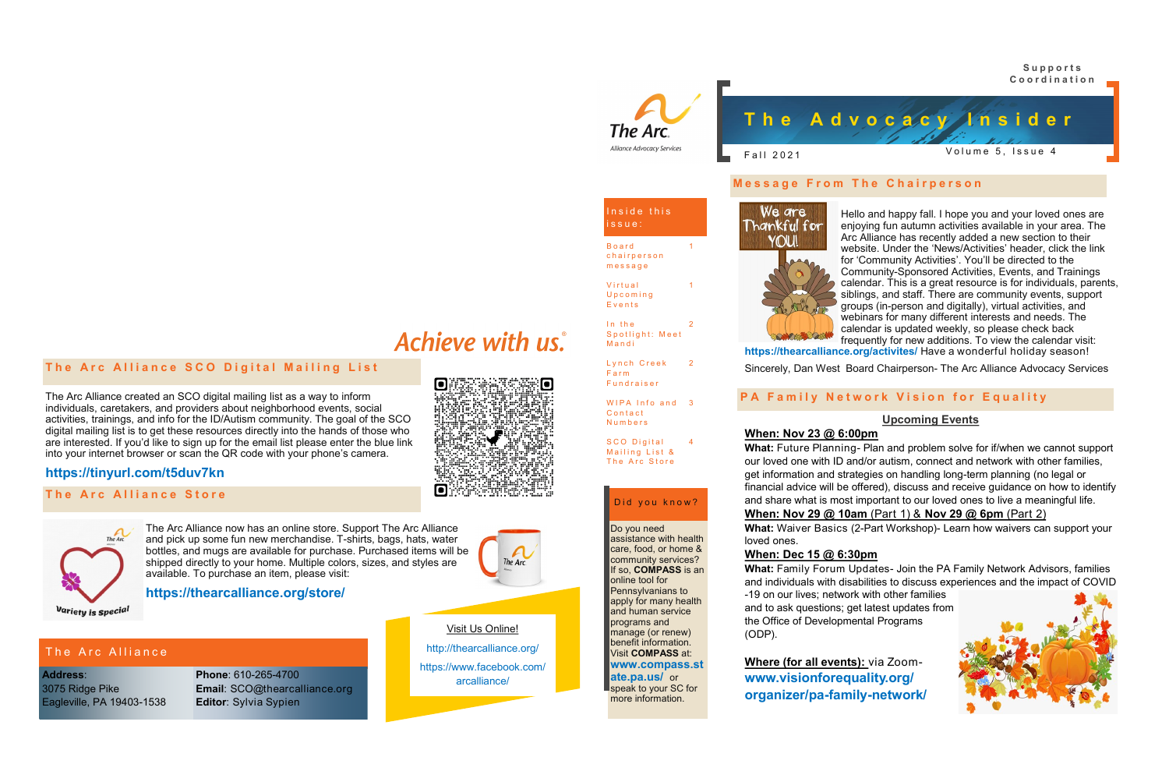## YOU!

Do you need

Inside this

The Arc Alliance Advocacy Services

assistance with health care, food, or home & community services? If so, **COMPASS** is an

Did you know?

online tool for Pennsylvanians to apply for many health and human service programs and manage (or renew) benefit information. Visit **COMPASS** at: **www.compass.st ate.pa.us/** or speak to your SC for more information.

**B**oard chairperson m e s s a g e

**Virtual** U p c o m i n g **E** v e n t s

In the

**Mandi** 

F a r m **Fundraiser** 

**C** on tact **Numbers** 

SCO Digital Mailing List & The Arc Store

Spotlight: Meet

Lynch Creek 2

WIPA Info and 3



### **Message From The Chairperson**

i s s u e :

1

1

2

4

The Arc Alliance now has an online store. Support The Arc Alliance and pick up some fun new merchandise. T-shirts, bags, hats, water bottles, and mugs are available for purchase. Purchased items will be shipped directly to your home. Multiple colors, sizes, and styles are available. To purchase an item, please visit:

We are Hello and happy fall. I hope you and your loved ones are Thankful for enjoying fun autumn activities available in your area. The Arc Alliance has recently added a new section to their website. Under the 'News/Activities' header, click the link for 'Community Activities'. You'll be directed to the Community-Sponsored Activities, Events, and Trainings calendar. This is a great resource is for individuals, parents, siblings, and staff. There are community events, support groups (in-person and digitally), virtual activities, and webinars for many different interests and needs. The calendar is updated weekly, so please check back frequently for new additions. To view the calendar visit: **https://thearcalliance.org/activites/** Have a wonderful holiday season!

### **https://thearcalliance.org/store/**

**The Arc Alliance SCO Digital Mailing List** 

Variety is special

### The Arc Alliance

**Phone**: 610-265-4700 **Email**: SCO@thearcalliance.org **Editor**: Sylvia Sypien

**Address**: 3075 Ridge Pike Eagleville, PA 19403-1538 Visit Us Online!

http://thearcalliance.org/

https://www.facebook.com/ arcalliance/

Sincerely, Dan West Board Chairperson- The Arc Alliance Advocacy Services

### **PA Family Network Vision for Equality**

### **Upcoming Events**

### **When: Nov 23 @ 6:00pm**

**What:** Future Planning- Plan and problem solve for if/when we cannot support our loved one with ID and/or autism, connect and network with other families, get information and strategies on handling long-term planning (no legal or financial advice will be offered), discuss and receive guidance on how to identify and share what is most important to our loved ones to live a meaningful life. **When: Nov 29 @ 10am** (Part 1) & **Nov 29 @ 6pm** (Part 2) **What:** Waiver Basics (2-Part Workshop)- Learn how waivers can support your

loved ones.

**What:** Family Forum Updates- Join the PA Family Network Advisors, families and individuals with disabilities to discuss experiences and the impact of COVID



**When: Dec 15 @ 6:30pm** -19 on our lives; network with other families and to ask questions; get latest updates from the Office of Developmental Programs (ODP).

### **Where (for all events):** via Zoom**www.visionforequality.org/ organizer/pa-family-network/**

## Achieve with us.



The Arc.

# The Arc Alliance created an SCO digital mailing list as a way to inform



### **https://tinyurl.com/t5duv7kn**

### **The Arc Alliance Store**